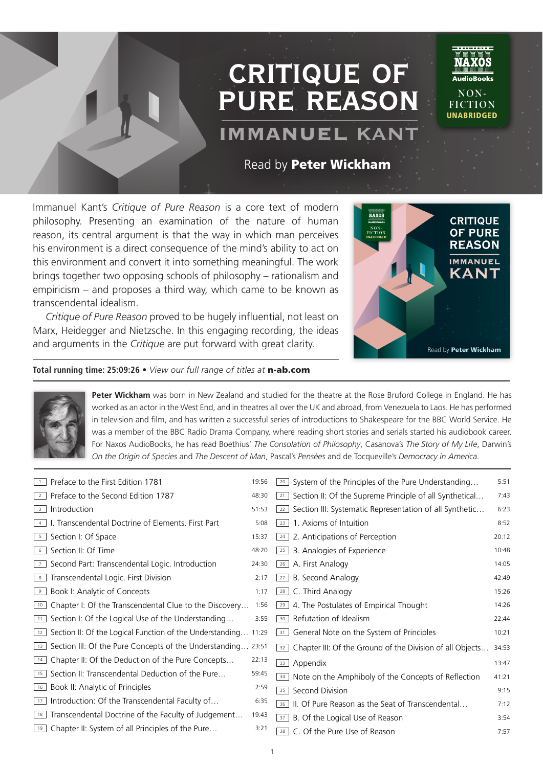## **critique of pure reason**

## IMMANUEL **KANT**

Read by Peter Wickham

Immanuel Kant's *Critique of Pure Reason* is a core text of modern philosophy. Presenting an examination of the nature of human reason, its central argument is that the way in which man perceives his environment is a direct consequence of the mind's ability to act on this environment and convert it into something meaningful. The work brings together two opposing schools of philosophy – rationalism and empiricism – and proposes a third way, which came to be known as transcendental idealism.

*Critique of Pure Reason* proved to be hugely influential, not least on Marx, Heidegger and Nietzsche. In this engaging recording, the ideas and arguments in the *Critique* are put forward with great clarity.



**NON-FICTION UNABRIDGED** 

## **Total running time: 25:09:26 •** *View our full range of titles at* n-ab.com



**Peter Wickham** was born in New Zealand and studied for the theatre at the Rose Bruford College in England. He has worked as an actor in the West End, and in theatres all over the UK and abroad, from Venezuela to Laos. He has performed in television and film, and has written a successful series of introductions to Shakespeare for the BBC World Service. He was a member of the BBC Radio Drama Company, where reading short stories and serials started his audiobook career. For Naxos AudioBooks, he has read Boethius' *The Consolation of Philosophy*, Casanova's *The Story of My Life*, Darwin's *On the Origin of Species* and *The Descent of Man*, Pascal's *Pensées* and de Tocqueville's *Democracy in America*.

|                | Preface to the First Edition 1781                              | 19:56 | System of the Principles of the Pure Understanding<br>20        | 5:51  |
|----------------|----------------------------------------------------------------|-------|-----------------------------------------------------------------|-------|
| $\overline{2}$ | Preface to the Second Edition 1787                             | 48:30 | Section II: Of the Supreme Principle of all Synthetical<br>21   | 7:43  |
| 3 <sup>1</sup> | Introduction                                                   | 51:53 | Section III: Systematic Representation of all Synthetic<br>22   | 6:23  |
| $\overline{4}$ | I. Transcendental Doctrine of Elements. First Part             | 5:08  | 1. Axioms of Intuition<br>23                                    | 8:52  |
| 5 <sup>5</sup> | Section I: Of Space                                            | 15:37 | 2. Anticipations of Perception<br>24                            | 20:12 |
| 6              | Section II: Of Time                                            | 48:20 | 3. Analogies of Experience<br>25                                | 10:48 |
| 7 <sup>1</sup> | Second Part: Transcendental Logic. Introduction                | 24:30 | A. First Analogy<br>26                                          | 14:05 |
| 8 <sup>1</sup> | Transcendental Logic. First Division                           | 2:17  | B. Second Analogy<br>27                                         | 42:49 |
| 9              | Book I: Analytic of Concepts                                   | 1:17  | C. Third Analogy<br>28                                          | 15:26 |
| 10             | Chapter I: Of the Transcendental Clue to the Discovery         | 1:56  | 4. The Postulates of Empirical Thought<br>29                    | 14:26 |
| 11             | Section I: Of the Logical Use of the Understanding             | 3:55  | Refutation of Idealism<br>30                                    | 22:44 |
| 12             | Section II: Of the Logical Function of the Understanding 11:29 |       | General Note on the System of Principles<br>31                  | 10:21 |
| 13             | Section III: Of the Pure Concepts of the Understanding 23:51   |       | Chapter III: Of the Ground of the Division of all Objects<br>32 | 34:53 |
| 14             | Chapter II: Of the Deduction of the Pure Concepts              | 22:13 | Appendix<br>33                                                  | 13:47 |
| 15             | Section II: Transcendental Deduction of the Pure               | 59:45 | Note on the Amphiboly of the Concepts of Reflection<br>34       | 41:21 |
| 16             | Book II: Analytic of Principles                                | 2:59  | Second Division<br>35                                           | 9:15  |
| 17             | Introduction: Of the Transcendental Faculty of                 | 6:35  | II. Of Pure Reason as the Seat of Transcendental<br>36          | 7:12  |
| 18             | Transcendental Doctrine of the Faculty of Judgement            | 19:43 | B. Of the Logical Use of Reason<br>37                           | 3:54  |
|                | <sup>19</sup> Chapter II: System of all Principles of the Pure | 3:21  | C. Of the Pure Use of Reason<br>38                              | 7:57  |